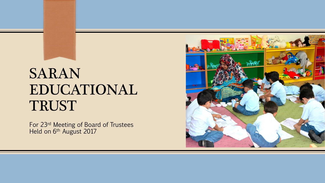# SARAN EDUCATIONAL TRUST

For 23rd Meeting of Board of Trustees Held on 6<sup>th</sup> August 2017

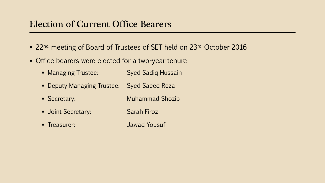## Election of Current Office Bearers

- 22<sup>nd</sup> meeting of Board of Trustees of SET held on 23<sup>rd</sup> October 2016
- **Office bearers were elected for a two-year tenure** 
	- **EXECUTE:** Syed Sadiq Hussain
	- Deputy Managing Trustee: Syed Saeed Reza
	- Secretary: Muhammad Shozib
	- Joint Secretary: Sarah Firoz
	- Treasurer: Jawad Yousuf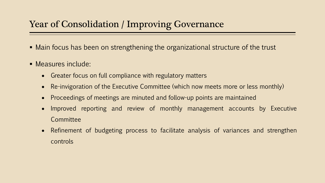## Year of Consolidation / Improving Governance

- Main focus has been on strengthening the organizational structure of the trust
- **E** Measures include:
	- Greater focus on full compliance with regulatory matters
	- Re-invigoration of the Executive Committee (which now meets more or less monthly)
	- Proceedings of meetings are minuted and follow-up points are maintained
	- Improved reporting and review of monthly management accounts by Executive **Committee**
	- Refinement of budgeting process to facilitate analysis of variances and strengthen controls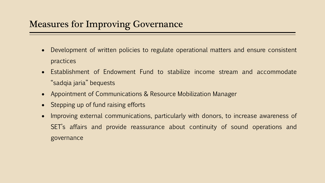## Measures for Improving Governance

- Development of written policies to regulate operational matters and ensure consistent practices
- Establishment of Endowment Fund to stabilize income stream and accommodate "sadqia jaria" bequests
- Appointment of Communications & Resource Mobilization Manager
- Stepping up of fund raising efforts
- Improving external communications, particularly with donors, to increase awareness of SET's affairs and provide reassurance about continuity of sound operations and governance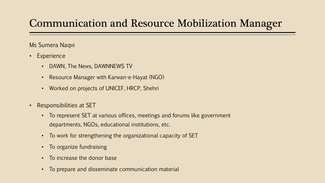## Communication and Resource Mobilization Manager

#### Ms Sumera Naqvi

- Experience
	- DAWN, The News, DAWNNEWS TV
	- Resource Manager with Karwan-e-Hayat (NGO)
	- Worked on projects of UNICEF, HRCP, Shehri
- Responsibilities at SET
	- To represent SET at various offices, meetings and forums like government departments, NGOs, educational institutions, etc.
	- To work for strengthening the organizational capacity of SET
	- To organize fundraising
	- To increase the donor base
	- To prepare and disseminate communication material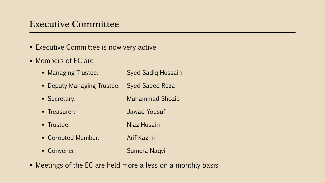## Executive Committee

- **Executive Committee is now very active**
- Members of EC are
	- **EXECUTE:** Syed Sadiq Hussain
	- Deputy Managing Trustee: Syed Saeed Reza
	- Secretary: Muhammad Shozib
	- Treasurer: Jawad Yousuf
	- Trustee: Niaz Husain
	- Co-opted Member: Arif Kazmi
	- Convener: Sumera Naqvi
- Meetings of the EC are held more a less on a monthly basis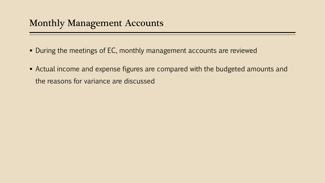- **During the meetings of EC, monthly management accounts are reviewed**
- **EXP** Actual income and expense figures are compared with the budgeted amounts and the reasons for variance are discussed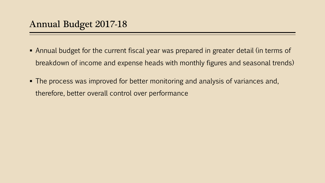- **Annual budget for the current fiscal year was prepared in greater detail (in terms of** breakdown of income and expense heads with monthly figures and seasonal trends)
- The process was improved for better monitoring and analysis of variances and, therefore, better overall control over performance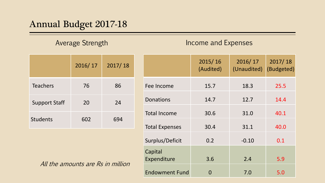## Annual Budget 2017-18

#### Average Strength **Income and Expenses**

|                      | 2016/17 | 2017/18 |
|----------------------|---------|---------|
| <b>Teachers</b>      | 76      | 86      |
| <b>Support Staff</b> | 20      | 24      |
| <b>Students</b>      | 602     | 694     |

| All the amounts are Rs in million |
|-----------------------------------|
|-----------------------------------|

|                        | 2015/16<br>(Audited) | 2016/17<br>(Unaudited) | 2017/18<br>(Budgeted) |
|------------------------|----------------------|------------------------|-----------------------|
| Fee Income             | 15.7                 | 18.3                   | 25.5                  |
| <b>Donations</b>       | 14.7                 | 12.7                   | 14.4                  |
| <b>Total Income</b>    | 30.6                 | 31.0                   | 40.1                  |
| <b>Total Expenses</b>  | 30.4                 | 31.1                   | 40.0                  |
| Surplus/Deficit        | 0.2                  | $-0.10$                | 0.1                   |
| Capital<br>Expenditure | 3.6                  | 2.4                    | 5.9                   |
| <b>Endowment Fund</b>  | 0                    | 7.0                    | 5.0                   |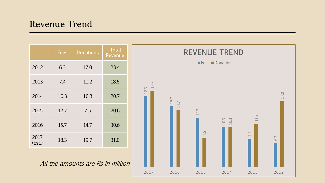## Revenue Trend

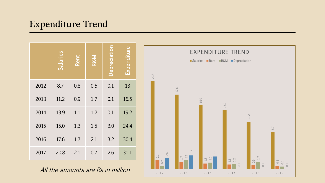## Expenditure Trend

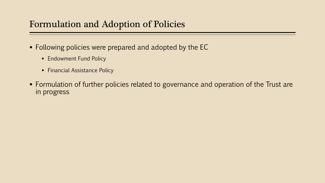## Formulation and Adoption of Policies

- Following policies were prepared and adopted by the EC
	- **Endowment Fund Policy**
	- **Financial Assistance Policy**
- **Formulation of further policies related to governance and operation of the Trust are** in progress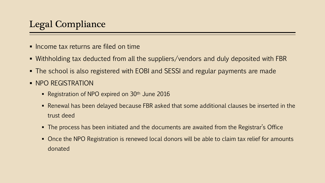- Income tax returns are filed on time
- Withholding tax deducted from all the suppliers/vendors and duly deposited with FBR
- The school is also registered with EOBI and SESSI and regular payments are made
- **NPO REGISTRATION** 
	- **Registration of NPO expired on 30th June 2016**
	- Renewal has been delayed because FBR asked that some additional clauses be inserted in the trust deed
	- The process has been initiated and the documents are awaited from the Registrar's Office
	- Once the NPO Registration is renewed local donors will be able to claim tax relief for amounts donated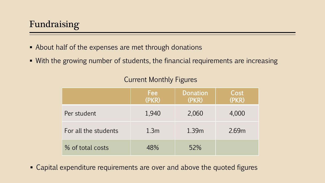- About half of the expenses are met through donations
- With the growing number of students, the financial requirements are increasing

|                      | <b>Fee!</b><br>(PKR) | <b>Donation</b><br>(PKR) | Cost<br>(PKR) |
|----------------------|----------------------|--------------------------|---------------|
| Per student          | 1,940                | 2,060                    | 4,000         |
| For all the students | 1.3 <sub>m</sub>     | 1.39m                    | 2.69m         |
| % of total costs     | 48%                  | 52%                      |               |

### Current Monthly Figures

■ Capital expenditure requirements are over and above the quoted figures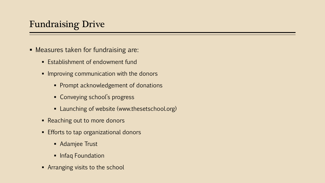## Fundraising Drive

- Measures taken for fundraising are:
	- Establishment of endowment fund
	- **.** Improving communication with the donors
		- **Prompt acknowledgement of donations**
		- Conveying school's progress
		- **EXECUTE: Launching of website (www.thesetschool.org)**
	- Reaching out to more donors
	- Efforts to tap organizational donors
		- Adamjee Trust
		- **·** Infaq Foundation
	- **EXPLORER** visits to the school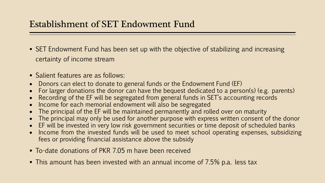## Establishment of SET Endowment Fund

- SET Endowment Fund has been set up with the objective of stabilizing and increasing certainty of income stream
- Salient features are as follows:
- Donors can elect to donate to general funds or the Endowment Fund (EF)
- For larger donations the donor can have the bequest dedicated to a person(s) (e.g. parents)
- Recording of the EF will be segregated from general funds in SET's accounting records
- Income for each memorial endowment will also be segregated
- The principal of the EF will be maintained permanently and rolled over on maturity
- The principal may only be used for another purpose with express written consent of the donor
- EF will be invested in very low risk government securities or time deposit of scheduled banks
- Income from the invested funds will be used to meet school operating expenses, subsidizing fees or providing financial assistance above the subsidy
- To-date donations of PKR 7.05 m have been received
- This amount has been invested with an annual income of 7.5% p.a. less tax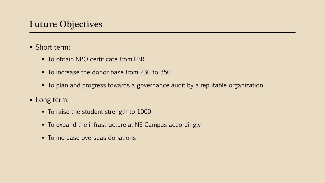## Future Objectives

- Short term:
	- To obtain NPO certificate from FBR
	- To increase the donor base from 230 to 350
	- To plan and progress towards a governance audit by a reputable organization
- **E** Long term:
	- To raise the student strength to 1000
	- To expand the infrastructure at NE Campus accordingly
	- To increase overseas donations